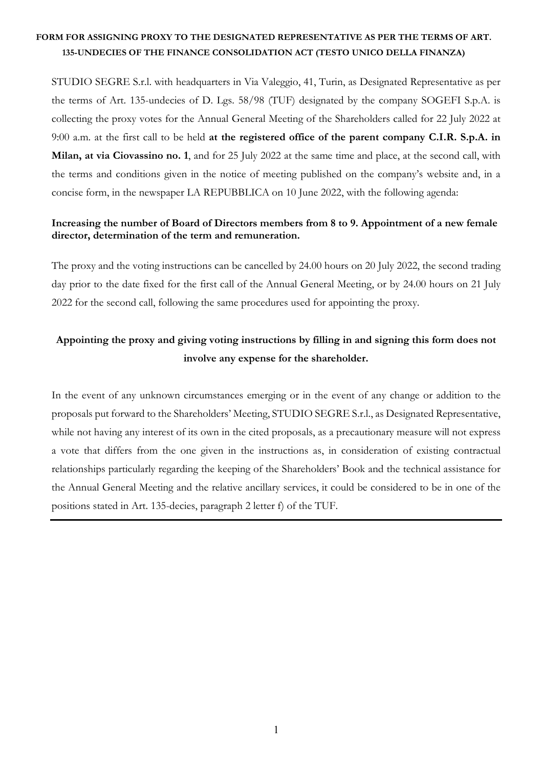STUDIO SEGRE S.r.l. with headquarters in Via Valeggio, 41, Turin, as Designated Representative as per the terms of Art. 135-undecies of D. Lgs. 58/98 (TUF) designated by the company SOGEFI S.p.A. is collecting the proxy votes for the Annual General Meeting of the Shareholders called for 22 July 2022 at 9:00 a.m. at the first call to be held **at the registered office of the parent company C.I.R. S.p.A. in Milan, at via Ciovassino no. 1**, and for 25 July 2022 at the same time and place, at the second call, with the terms and conditions given in the notice of meeting published on the company's website and, in a concise form, in the newspaper LA REPUBBLICA on 10 June 2022, with the following agenda:

### **Increasing the number of Board of Directors members from 8 to 9. Appointment of a new female director, determination of the term and remuneration.**

The proxy and the voting instructions can be cancelled by 24.00 hours on 20 July 2022, the second trading day prior to the date fixed for the first call of the Annual General Meeting, or by 24.00 hours on 21 July 2022 for the second call, following the same procedures used for appointing the proxy.

# **Appointing the proxy and giving voting instructions by filling in and signing this form does not involve any expense for the shareholder.**

In the event of any unknown circumstances emerging or in the event of any change or addition to the proposals put forward to the Shareholders' Meeting, STUDIO SEGRE S.r.l., as Designated Representative, while not having any interest of its own in the cited proposals, as a precautionary measure will not express a vote that differs from the one given in the instructions as, in consideration of existing contractual relationships particularly regarding the keeping of the Shareholders' Book and the technical assistance for the Annual General Meeting and the relative ancillary services, it could be considered to be in one of the positions stated in Art. 135-decies, paragraph 2 letter f) of the TUF.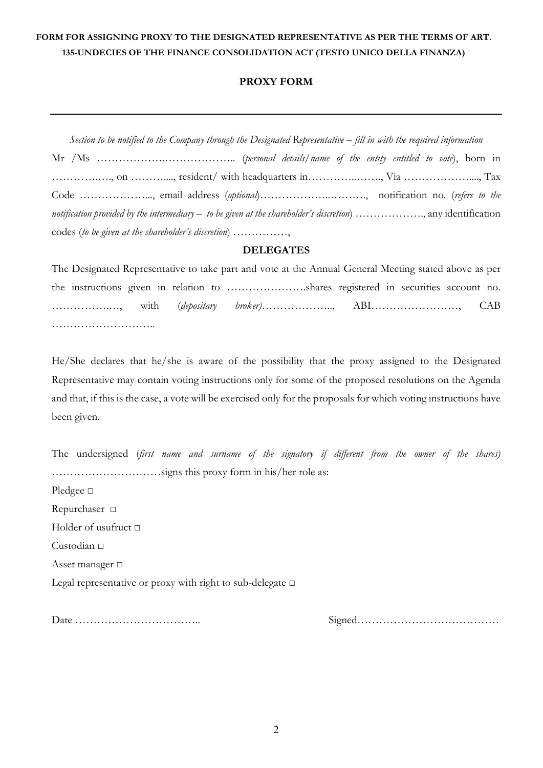### **PROXY FORM**

*Section to be notified to the Company through the Designated Representative – fill in with the required information*  Mr /Ms ……………….……………….. (*personal details/name of the entity entitled to vote*), born in ………….…., on ………...., resident/ with headquarters in…………..……., Via ………………...., Tax Code ………………..., email address (*optional*)………………..………., notification no. (*refers to the notification provided by the intermediary – to be given at the shareholder's discretion*) ………………., any identification codes (*to be given at the shareholder's discretion*) ……………,

#### **DELEGATES**

The Designated Representative to take part and vote at the Annual General Meeting stated above as per the instructions given in relation to ………………….shares registered in securities account no. …………….…, with (*depositary broker)*……………….., ABI……………………, CAB ……………………………

He/She declares that he/she is aware of the possibility that the proxy assigned to the Designated Representative may contain voting instructions only for some of the proposed resolutions on the Agenda and that, if this is the case, a vote will be exercised only for the proposals for which voting instructions have been given.

The undersigned (*first name and surname of the signatory if different from the owner of the shares) …………………………*signs this proxy form in his/her role as: Pledgee □ Repurchaser □ Holder of usufruct □ Custodian □ Asset manager □ Legal representative or proxy with right to sub-delegate □

Date …………………………….. Signed…………………………………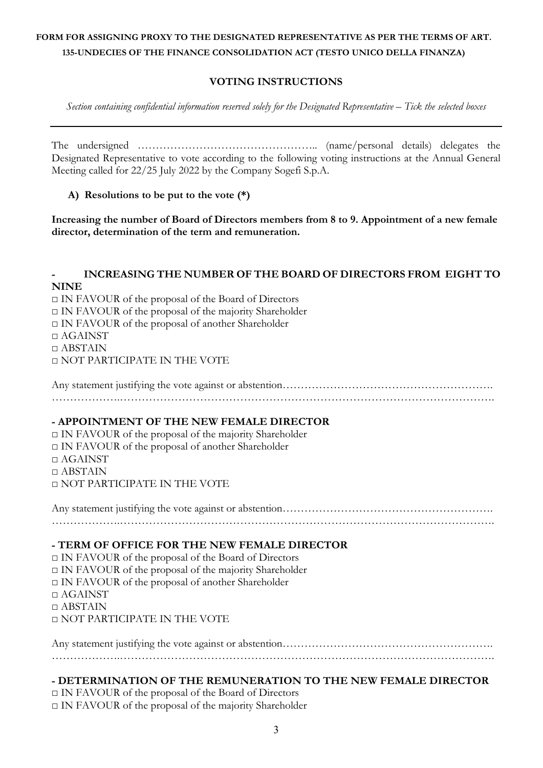## **VOTING INSTRUCTIONS**

*Section containing confidential information reserved solely for the Designated Representative – Tick the selected boxes* 

The undersigned ………………………………………….. (name/personal details) delegates the Designated Representative to vote according to the following voting instructions at the Annual General Meeting called for 22/25 July 2022 by the Company Sogefi S.p.A.

**A) Resolutions to be put to the vote (\*)**

**Increasing the number of Board of Directors members from 8 to 9. Appointment of a new female director, determination of the term and remuneration.** 

### **- INCREASING THE NUMBER OF THE BOARD OF DIRECTORS FROM EIGHT TO NINE**

□ IN FAVOUR of the proposal of the Board of Directors  $\Box$  IN FAVOUR of the proposal of the majority Shareholder □ IN FAVOUR of the proposal of another Shareholder  $\Box$  AGAINST  $\Box$  ABSTAIN □ NOT PARTICIPATE IN THE VOTE

Any statement justifying the vote against or abstention………………………………………………………………… ……………….………………………………………………………………………………………….

#### **- APPOINTMENT OF THE NEW FEMALE DIRECTOR**

□ IN FAVOUR of the proposal of the majority Shareholder □ IN FAVOUR of the proposal of another Shareholder  $\Box$  AGAINST  $\Box$  ABSTAIN □ NOT PARTICIPATE IN THE VOTE

Any statement justifying the vote against or abstention………………………………………………………………… ……………….………………………………………………………………………………………….

### **- TERM OF OFFICE FOR THE NEW FEMALE DIRECTOR**

□ IN FAVOUR of the proposal of the Board of Directors

 $\Box$  IN FAVOUR of the proposal of the majority Shareholder

□ IN FAVOUR of the proposal of another Shareholder

□ AGAINST

 $\Box$  ABSTAIN

□ NOT PARTICIPATE IN THE VOTE

Any statement justifying the vote against or abstention…………………………………………………………………  $\mathcal{L}^{\text{max}}$ 

### **- DETERMINATION OF THE REMUNERATION TO THE NEW FEMALE DIRECTOR**

□ IN FAVOUR of the proposal of the Board of Directors

 $\Box$  IN FAVOUR of the proposal of the majority Shareholder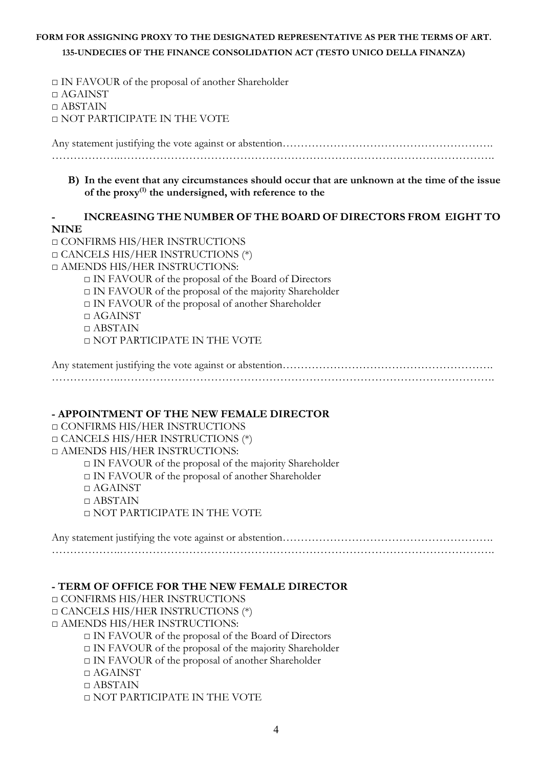□ IN FAVOUR of the proposal of another Shareholder □ AGAINST □ ABSTAIN □ NOT PARTICIPATE IN THE VOTE

Any statement justifying the vote against or abstention…………………………………………………. ……………….………………………………………………………………………………………….

### **B) In the event that any circumstances should occur that are unknown at the time of the issue of the proxy(1) the undersigned, with reference to the**

### **- INCREASING THE NUMBER OF THE BOARD OF DIRECTORS FROM EIGHT TO NINE**

□ CONFIRMS HIS/HER INSTRUCTIONS □ CANCELS HIS/HER INSTRUCTIONS (\*) □ AMENDS HIS/HER INSTRUCTIONS: □ IN FAVOUR of the proposal of the Board of Directors  $\Box$  IN FAVOUR of the proposal of the majority Shareholder □ IN FAVOUR of the proposal of another Shareholder □ AGAINST  $\Box$  ABSTAIN □ NOT PARTICIPATE IN THE VOTE

Any statement justifying the vote against or abstention…………………………………………………. ……………….………………………………………………………………………………………….

### **- APPOINTMENT OF THE NEW FEMALE DIRECTOR**

□ CONFIRMS HIS/HER INSTRUCTIONS □ CANCELS HIS/HER INSTRUCTIONS (\*) □ AMENDS HIS/HER INSTRUCTIONS:  $\Box$  IN FAVOUR of the proposal of the majority Shareholder □ IN FAVOUR of the proposal of another Shareholder □ AGAINST  $\Box$  ABSTAIN □ NOT PARTICIPATE IN THE VOTE

Any statement justifying the vote against or abstention…………………………………………………. ……………….………………………………………………………………………………………….

#### **- TERM OF OFFICE FOR THE NEW FEMALE DIRECTOR**

□ CONFIRMS HIS/HER INSTRUCTIONS □ CANCELS HIS/HER INSTRUCTIONS (\*) □ AMENDS HIS/HER INSTRUCTIONS: □ IN FAVOUR of the proposal of the Board of Directors

 $\Box$  IN FAVOUR of the proposal of the majority Shareholder

□ IN FAVOUR of the proposal of another Shareholder

□ AGAINST

 $\Box$  ABSTAIN

□ NOT PARTICIPATE IN THE VOTE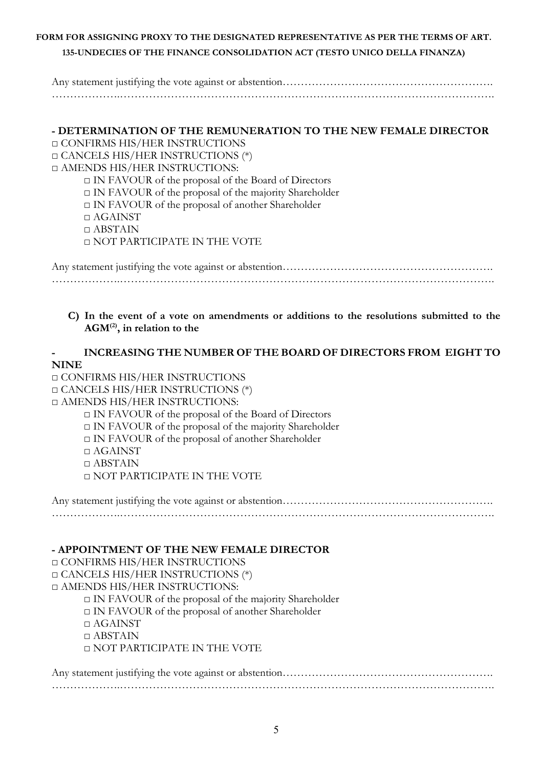Any statement justifying the vote against or abstention…………………………………………………. ……………….………………………………………………………………………………………….

# **- DETERMINATION OF THE REMUNERATION TO THE NEW FEMALE DIRECTOR**

□ CONFIRMS HIS/HER INSTRUCTIONS □ CANCELS HIS/HER INSTRUCTIONS (\*)

□ AMENDS HIS/HER INSTRUCTIONS:

□ IN FAVOUR of the proposal of the Board of Directors

□ IN FAVOUR of the proposal of the majority Shareholder

□ IN FAVOUR of the proposal of another Shareholder

□ AGAINST

□ ABSTAIN

□ NOT PARTICIPATE IN THE VOTE

Any statement justifying the vote against or abstention…………………………………………………. ……………….………………………………………………………………………………………….

### **C) In the event of a vote on amendments or additions to the resolutions submitted to the AGM(2) , in relation to the**

# **- INCREASING THE NUMBER OF THE BOARD OF DIRECTORS FROM EIGHT TO NINE**

□ CONFIRMS HIS/HER INSTRUCTIONS

□ CANCELS HIS/HER INSTRUCTIONS (\*)

□ AMENDS HIS/HER INSTRUCTIONS:

□ IN FAVOUR of the proposal of the Board of Directors □ IN FAVOUR of the proposal of the majority Shareholder □ IN FAVOUR of the proposal of another Shareholder □ AGAINST □ ABSTAIN □ NOT PARTICIPATE IN THE VOTE

Any statement justifying the vote against or abstention………………………………………………………………… ……………….………………………………………………………………………………………….

### **- APPOINTMENT OF THE NEW FEMALE DIRECTOR**

□ CONFIRMS HIS/HER INSTRUCTIONS □ CANCELS HIS/HER INSTRUCTIONS (\*) □ AMENDS HIS/HER INSTRUCTIONS:  $\Box$  IN FAVOUR of the proposal of the majority Shareholder □ IN FAVOUR of the proposal of another Shareholder □ AGAINST  $\Box$  ABSTAIN □ NOT PARTICIPATE IN THE VOTE

Any statement justifying the vote against or abstention………………………………………………………………… ……………….………………………………………………………………………………………….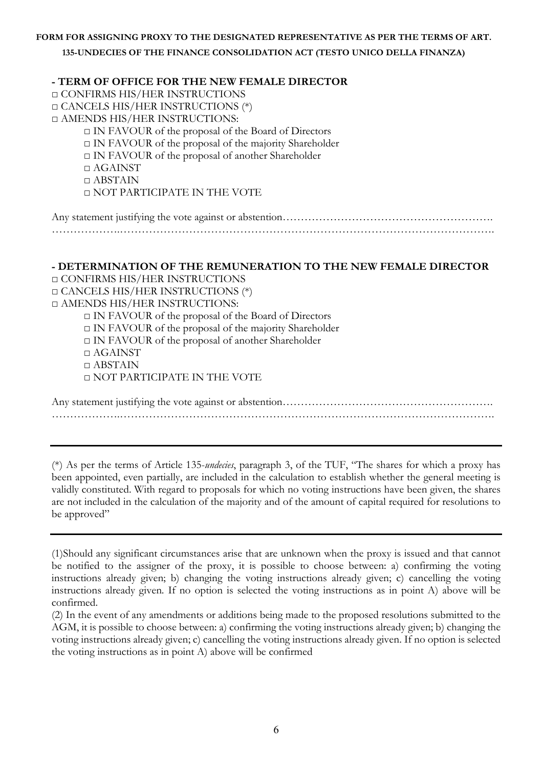**- TERM OF OFFICE FOR THE NEW FEMALE DIRECTOR** □ CONFIRMS HIS/HER INSTRUCTIONS □ CANCELS HIS/HER INSTRUCTIONS (\*) □ AMENDS HIS/HER INSTRUCTIONS: □ IN FAVOUR of the proposal of the Board of Directors □ IN FAVOUR of the proposal of the majority Shareholder □ IN FAVOUR of the proposal of another Shareholder □ AGAINST □ ABSTAIN □ NOT PARTICIPATE IN THE VOTE

### **- DETERMINATION OF THE REMUNERATION TO THE NEW FEMALE DIRECTOR**

□ CONFIRMS HIS/HER INSTRUCTIONS □ CANCELS HIS/HER INSTRUCTIONS (\*) □ AMENDS HIS/HER INSTRUCTIONS:

□ IN FAVOUR of the proposal of the Board of Directors □ IN FAVOUR of the proposal of the majority Shareholder

□ IN FAVOUR of the proposal of another Shareholder

□ AGAINST

□ ABSTAIN

□ NOT PARTICIPATE IN THE VOTE

Any statement justifying the vote against or abstention………………………………………………………………… ……………….………………………………………………………………………………………….

(\*) As per the terms of Article 135-*undecies*, paragraph 3, of the TUF, "The shares for which a proxy has been appointed, even partially, are included in the calculation to establish whether the general meeting is validly constituted. With regard to proposals for which no voting instructions have been given, the shares are not included in the calculation of the majority and of the amount of capital required for resolutions to be approved"

<sup>(1)</sup>Should any significant circumstances arise that are unknown when the proxy is issued and that cannot be notified to the assigner of the proxy, it is possible to choose between: a) confirming the voting instructions already given; b) changing the voting instructions already given; c) cancelling the voting instructions already given. If no option is selected the voting instructions as in point A) above will be confirmed.

<sup>(2)</sup> In the event of any amendments or additions being made to the proposed resolutions submitted to the AGM, it is possible to choose between: a) confirming the voting instructions already given; b) changing the voting instructions already given; c) cancelling the voting instructions already given. If no option is selected the voting instructions as in point A) above will be confirmed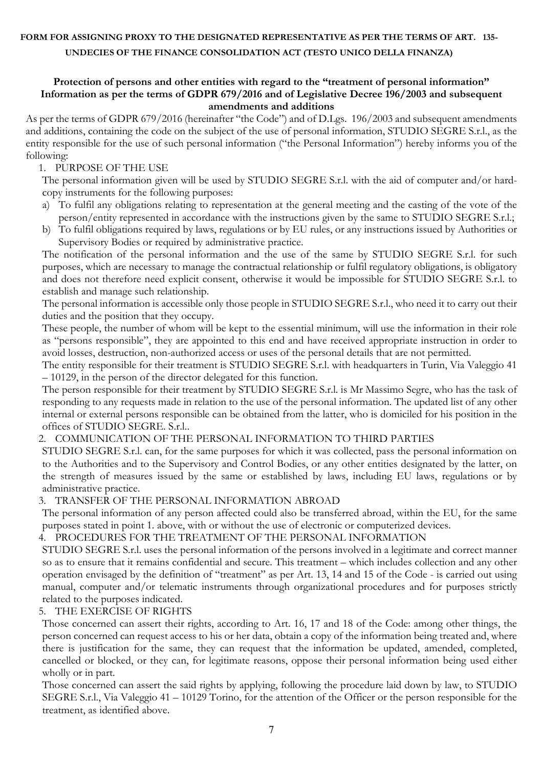#### **Protection of persons and other entities with regard to the "treatment of personal information" Information as per the terms of GDPR 679/2016 and of Legislative Decree 196/2003 and subsequent amendments and additions**

As per the terms of GDPR 679/2016 (hereinafter "the Code") and of D.Lgs. 196/2003 and subsequent amendments and additions, containing the code on the subject of the use of personal information, STUDIO SEGRE S.r.l., as the entity responsible for the use of such personal information ("the Personal Information") hereby informs you of the following:

### 1. PURPOSE OF THE USE

The personal information given will be used by STUDIO SEGRE S.r.l. with the aid of computer and/or hardcopy instruments for the following purposes:

- a) To fulfil any obligations relating to representation at the general meeting and the casting of the vote of the person/entity represented in accordance with the instructions given by the same to STUDIO SEGRE S.r.l.;
- b) To fulfil obligations required by laws, regulations or by EU rules, or any instructions issued by Authorities or Supervisory Bodies or required by administrative practice.

The notification of the personal information and the use of the same by STUDIO SEGRE S.r.l. for such purposes, which are necessary to manage the contractual relationship or fulfil regulatory obligations, is obligatory and does not therefore need explicit consent, otherwise it would be impossible for STUDIO SEGRE S.r.l. to establish and manage such relationship.

The personal information is accessible only those people in STUDIO SEGRE S.r.l., who need it to carry out their duties and the position that they occupy.

These people, the number of whom will be kept to the essential minimum, will use the information in their role as "persons responsible", they are appointed to this end and have received appropriate instruction in order to avoid losses, destruction, non-authorized access or uses of the personal details that are not permitted.

The entity responsible for their treatment is STUDIO SEGRE S.r.l. with headquarters in Turin, Via Valeggio 41 – 10129, in the person of the director delegated for this function.

The person responsible for their treatment by STUDIO SEGRE S.r.l. is Mr Massimo Segre, who has the task of responding to any requests made in relation to the use of the personal information. The updated list of any other internal or external persons responsible can be obtained from the latter, who is domiciled for his position in the offices of STUDIO SEGRE. S.r.l..

### 2. COMMUNICATION OF THE PERSONAL INFORMATION TO THIRD PARTIES

STUDIO SEGRE S.r.l. can, for the same purposes for which it was collected, pass the personal information on to the Authorities and to the Supervisory and Control Bodies, or any other entities designated by the latter, on the strength of measures issued by the same or established by laws, including EU laws, regulations or by administrative practice.

#### 3. TRANSFER OF THE PERSONAL INFORMATION ABROAD

The personal information of any person affected could also be transferred abroad, within the EU, for the same purposes stated in point 1. above, with or without the use of electronic or computerized devices.

#### 4. PROCEDURES FOR THE TREATMENT OF THE PERSONAL INFORMATION

STUDIO SEGRE S.r.l. uses the personal information of the persons involved in a legitimate and correct manner so as to ensure that it remains confidential and secure. This treatment – which includes collection and any other operation envisaged by the definition of "treatment" as per Art. 13, 14 and 15 of the Code - is carried out using manual, computer and/or telematic instruments through organizational procedures and for purposes strictly related to the purposes indicated.

#### 5. THE EXERCISE OF RIGHTS

Those concerned can assert their rights, according to Art. 16, 17 and 18 of the Code: among other things, the person concerned can request access to his or her data, obtain a copy of the information being treated and, where there is justification for the same, they can request that the information be updated, amended, completed, cancelled or blocked, or they can, for legitimate reasons, oppose their personal information being used either wholly or in part.

Those concerned can assert the said rights by applying, following the procedure laid down by law, to STUDIO SEGRE S.r.l., Via Valeggio 41 – 10129 Torino, for the attention of the Officer or the person responsible for the treatment, as identified above.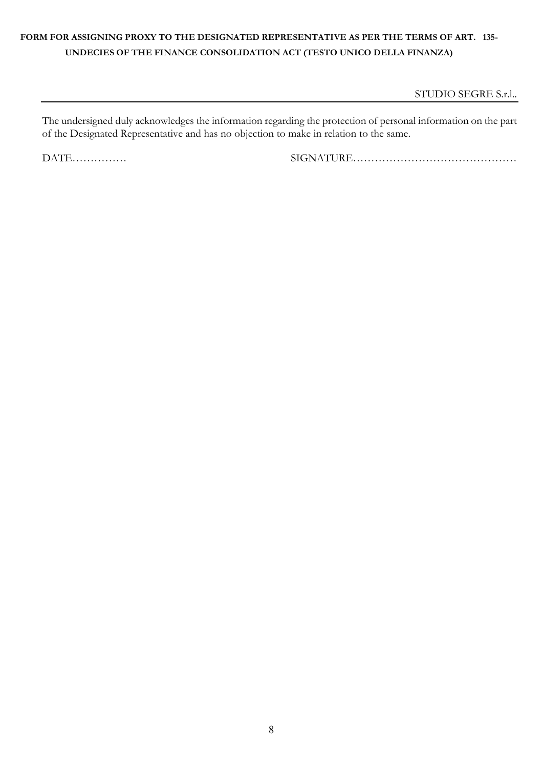STUDIO SEGRE S.r.l..

The undersigned duly acknowledges the information regarding the protection of personal information on the part of the Designated Representative and has no objection to make in relation to the same.

DATE…………… SIGNATURE………………………………………